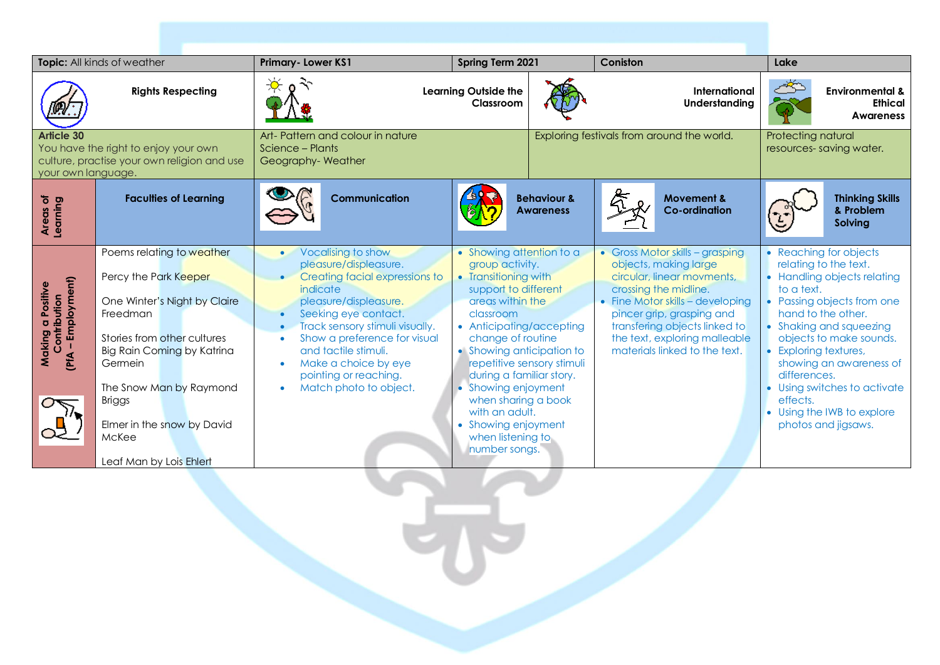| Topic: All kinds of weather                                                                                                    |                                                                                                                                                                                                                                                                                      | <b>Primary-Lower KS1</b><br>Spring Term 2021                                                                                                                                                                                                                                                                                  |                                                                                                                                                                                                                                                                                                                                                                                                        |                                            | Coniston                                                                                                                                                                                                                                                                            | Lake                                                            |                                                                                                                                                                                                                                                                                                          |  |
|--------------------------------------------------------------------------------------------------------------------------------|--------------------------------------------------------------------------------------------------------------------------------------------------------------------------------------------------------------------------------------------------------------------------------------|-------------------------------------------------------------------------------------------------------------------------------------------------------------------------------------------------------------------------------------------------------------------------------------------------------------------------------|--------------------------------------------------------------------------------------------------------------------------------------------------------------------------------------------------------------------------------------------------------------------------------------------------------------------------------------------------------------------------------------------------------|--------------------------------------------|-------------------------------------------------------------------------------------------------------------------------------------------------------------------------------------------------------------------------------------------------------------------------------------|-----------------------------------------------------------------|----------------------------------------------------------------------------------------------------------------------------------------------------------------------------------------------------------------------------------------------------------------------------------------------------------|--|
|                                                                                                                                | <b>Rights Respecting</b>                                                                                                                                                                                                                                                             |                                                                                                                                                                                                                                                                                                                               | <b>Learning Outside the</b><br>Classroom                                                                                                                                                                                                                                                                                                                                                               |                                            | International<br>Understanding                                                                                                                                                                                                                                                      |                                                                 | <b>Environmental &amp;</b><br><b>Ethical</b><br><b>Awareness</b>                                                                                                                                                                                                                                         |  |
| <b>Article 30</b><br>You have the right to enjoy your own<br>culture, practise your own religion and use<br>your own language. |                                                                                                                                                                                                                                                                                      | Art- Pattern and colour in nature<br>Science – Plants<br>Geography-Weather                                                                                                                                                                                                                                                    |                                                                                                                                                                                                                                                                                                                                                                                                        |                                            | Exploring festivals from around the world.                                                                                                                                                                                                                                          |                                                                 | Protecting natural<br>resources-saving water.                                                                                                                                                                                                                                                            |  |
| ৳<br>Areas of<br>Learning                                                                                                      | <b>Faculties of Learning</b>                                                                                                                                                                                                                                                         | <b>Communication</b>                                                                                                                                                                                                                                                                                                          |                                                                                                                                                                                                                                                                                                                                                                                                        | <b>Behaviour &amp;</b><br><b>Awareness</b> | <b>Movement &amp;</b><br><b>Co-ordination</b>                                                                                                                                                                                                                                       |                                                                 | <b>Thinking Skills</b><br>& Problem<br>Solving                                                                                                                                                                                                                                                           |  |
| (PfA - Employment)<br>Positive<br>Contribution<br>Making                                                                       | Poems relating to weather<br>Percy the Park Keeper<br>One Winter's Night by Claire<br>Freedman<br>Stories from other cultures<br>Big Rain Coming by Katrina<br>Germein<br>The Snow Man by Raymond<br><b>Briggs</b><br>Elmer in the snow by David<br>McKee<br>Leaf Man by Lois Ehlert | Vocalising to show<br>$\bullet$<br>pleasure/displeasure.<br>Creating facial expressions to<br>indicate<br>pleasure/displeasure.<br>Seeking eye contact.<br>Track sensory stimuli visually.<br>Show a preference for visual<br>and tactile stimuli.<br>Make a choice by eye<br>pointing or reaching.<br>Match photo to object. | • Showing attention to a<br>group activity.<br>• Transitioning with<br>support to different<br>greas within the<br>classroom<br>• Anticipating/accepting<br>change of routine<br>• Showing anticipation to<br>repetitive sensory stimuli<br>during a familiar story.<br><b>Showing enjoyment</b><br>when sharing a book<br>with an adult.<br>• Showing enjoyment<br>when listening to<br>number songs. |                                            | • Gross Motor skills - grasping<br>objects, making large<br>circular, linear movments,<br>crossing the midline.<br>• Fine Motor skills - developing<br>pincer grip, grasping and<br>transfering objects linked to<br>the text, exploring malleable<br>materials linked to the text. | to a text.<br>• Exploring textures,<br>differences.<br>effects. | • Reaching for objects<br>relating to the text.<br>• Handling objects relating<br>• Passing objects from one<br>hand to the other.<br>• Shaking and squeezing<br>objects to make sounds.<br>showing an awareness of<br>• Using switches to activate<br>• Using the IWB to explore<br>photos and jigsaws. |  |

**CHARLES**